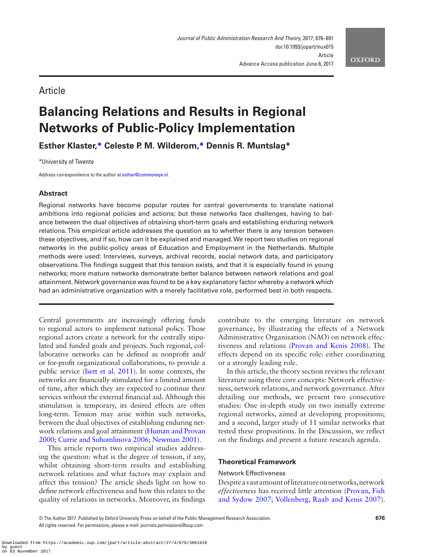Article

# **Balancing Relations and Results in Regional Networks of Public-Policy Implementation**

**Esther Klaster,[\\*](#page-0-0) Celeste P. M. Wilderom,[\\*](#page-0-0) Dennis R. Muntsla[g\\*](#page-0-0)**

<span id="page-0-0"></span>\*University of Twente

Address correspondence to the author at [esther@commoneye.nl.](mailto:esther@commoneye.nl?subject=)

# **Abstract**

Regional networks have become popular routes for central governments to translate national ambitions into regional policies and actions; but these networks face challenges, having to balance between the dual objectives of obtaining short-term goals and establishing enduring network relations. This empirical article addresses the question as to whether there is any tension between these objectives, and if so, how can it be explained and managed. We report two studies on regional networks in the public-policy areas of Education and Employment in the Netherlands. Multiple methods were used: Interviews, surveys, archival records, social network data, and participatory observations. The findings suggest that this tension exists, and that it is especially found in young networks; more mature networks demonstrate better balance between network relations and goal attainment. Network governance was found to be a key explanatory factor whereby a network which had an administrative organization with a merely facilitative role, performed best in both respects.

Central governments are increasingly offering funds to regional actors to implement national policy. Those regional actors create a network for the centrally stipulated and funded goals and projects. Such regional, collaborative networks can be defined as nonprofit and/ or for-profit organizational collaborations, to provide a public service [\(Isett et al. 2011](#page-15-0)). In some contexts, the networks are financially stimulated for a limited amount of time, after which they are expected to continue their services without the external financial aid. Although this stimulation is temporary, its desired effects are often long-term. Tension may arise within such networks, between the dual objectives of establishing enduring network relations and goal attainment [\(Human and Provan](#page-15-1)  [2000](#page-15-1); [Currie and Suhomlinova 2006;](#page-14-0) [Newman 2001\)](#page-15-2).

This article reports two empirical studies addressing the question: what is the degree of tension, if any, whilst obtaining short-term results and establishing network relations and what factors may explain and affect this tension? The article sheds light on how to define network effectiveness and how this relates to the quality of relations in networks. Moreover, its findings contribute to the emerging literature on network governance, by illustrating the effects of a Network Administrative Organization (NAO) on network effectiveness and relations [\(Provan and Kenis 2008](#page-15-3)). The effects depend on its specific role: either coordinating or a strongly leading role.

In this article, the theory section reviews the relevant literature using three core concepts: Network effectiveness, network relations, and network governance. After detailing our methods, we present two consecutive studies: One in-depth study on two initially extreme regional networks, aimed at developing propositions; and a second, larger study of 11 similar networks that tested these propositions. In the Discussion, we reflect on the findings and present a future research agenda.

# **Theoretical Framework**

## Network Effectiveness

Despite a vast amount of literature on networks, network *effectiveness* has received little attention ([Provan, Fish](#page-15-4)  [and Sydow 2007;](#page-15-4) [Vollenberg, Raab and Kenis 2007\)](#page-15-5).

<sup>©</sup> The Author 2017. Published by Oxford University Press on behalf of the Public Management Research Association. All rights reserved. For permissions, please e-mail: journals.permissions@oup.com.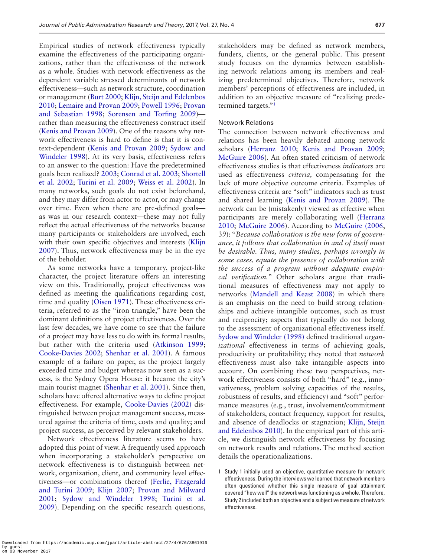Empirical studies of network effectiveness typically examine the effectiveness of the participating organizations, rather than the effectiveness of the network as a whole. Studies with network effectiveness as the dependent variable stressed determinants of network effectiveness—such as network structure, coordination or management ([Burt 2000;](#page-14-1) [Klijn, Steijn and Edelenbos](#page-15-6)  [2010;](#page-15-6) [Lemaire and Provan 2009;](#page-15-7) [Powell 1996;](#page-15-8) [Provan](#page-15-9)  [and Sebastian 1998](#page-15-9); [Sorensen and Torfing 2009](#page-15-10)) rather than measuring the effectiveness construct itself ([Kenis and Provan 2009\)](#page-15-11). One of the reasons why network effectiveness is hard to define is that it is context-dependent ([Kenis and Provan 2009](#page-15-11); [Sydow and](#page-15-12)  [Windeler 1998](#page-15-12)). At its very basis, effectiveness refers to an answer to the question: Have the predetermined goals been realized? [2003](#page-14-2); [Conrad et al. 2003](#page-14-2); [Shortell](#page-15-13)  [et al. 2002;](#page-15-13) [Turini et al. 2009](#page-15-14); [Weiss et al. 2002](#page-15-15)). In many networks, such goals do not exist beforehand, and they may differ from actor to actor, or may change over time. Even when there are pre-defined goals as was in our research context—these may not fully reflect the actual effectiveness of the networks because many participants or stakeholders are involved, each with their own specific objectives and interests (Klijn [2007\)](#page-15-16). Thus, network effectiveness may be in the eye of the beholder.

As some networks have a temporary, project-like character, the project literature offers an interesting view on this. Traditionally, project effectiveness was defined as meeting the qualifications regarding cost, time and quality ([Oisen 1971\)](#page-15-17). These effectiveness criteria, referred to as the "iron triangle," have been the dominant definitions of project effectiveness. Over the last few decades, we have come to see that the failure of a project may have less to do with its formal results, but rather with the criteria used [\(Atkinson 1999;](#page-14-3) [Cooke-Davies 2002;](#page-14-4) [Shenhar et al. 2001](#page-15-18)). A famous example of a failure on paper, as the project largely exceeded time and budget whereas now seen as a success, is the Sydney Opera House: it became the city's main tourist magnet ([Shenhar et al. 2001](#page-15-18)). Since then, scholars have offered alternative ways to define project effectiveness. For example, [Cooke-Davies \(2002\)](#page-14-4) distinguished between project management success, measured against the criteria of time, costs and quality; and project success, as perceived by relevant stakeholders.

Network effectiveness literature seems to have adopted this point of view. A frequently used approach when incorporating a stakeholder's perspective on network effectiveness is to distinguish between network, organization, client, and community level effectiveness—or combinations thereof ([Ferlie, Fitzgerald](#page-15-14)  [and Turini 2009](#page-15-14); [Klijn 2007;](#page-15-16) [Provan and Milward](#page-15-19)  [2001;](#page-15-19) [Sydow and Windeler 1998;](#page-15-12) [Turini et al.](#page-15-14)  [2009\)](#page-15-14). Depending on the specific research questions,

stakeholders may be defined as network members, funders, clients, or the general public. This present study focuses on the dynamics between establishing network relations among its members and realizing predetermined objectives. Therefore, network members' perceptions of effectiveness are included, in addition to an objective measure of "realizing predetermined targets."[1](#page-1-0)

#### Network Relations

The connection between network effectiveness and relations has been heavily debated among network scholars ([Herranz 2010;](#page-15-20) [Kenis and Provan 2009;](#page-15-11) [McGuire 2006](#page-15-21)). An often stated criticism of network effectiveness studies is that effectiveness *indicators* are used as effectiveness *criteria,* compensating for the lack of more objective outcome criteria. Examples of effectiveness criteria are "soft" indicators such as trust and shared learning [\(Kenis and Provan 2009](#page-15-11)). The network can be (mistakenly) viewed as effective when participants are merely collaborating well [\(Herranz](#page-15-20)  [2010;](#page-15-20) [McGuire 2006](#page-15-21)). According to [McGuire \(2006](#page-15-21), 39): "*Because collaboration is the new form of governance, it follows that collaboration in and of itself must be desirable. Thus, many studies, perhaps wrongly in some cases, equate the presence of collaboration with the success of a program without adequate empirical verification.*" Other scholars argue that traditional measures of effectiveness may not apply to networks ([Mandell and Keast 2008](#page-15-22)) in which there is an emphasis on the need to build strong relationships and achieve intangible outcomes, such as trust and reciprocity; aspects that typically do not belong to the assessment of organizational effectiveness itself. [Sydow and Windeler \(1998\)](#page-15-12) defined traditional *organizational* effectiveness in terms of achieving goals, productivity or profitability; they noted that *network* effectiveness must also take intangible aspects into account. On combining these two perspectives, network effectiveness consists of both "hard" (e.g., innovativeness, problem solving capacities of the results, robustness of results, and efficiency) and "soft" performance measures (e.g., trust, involvement/commitment of stakeholders, contact frequency, support for results, and absence of deadlocks or stagnation; [Klijn, Steijn](#page-15-6)  [and Edelenbos 2010](#page-15-6)). In the empirical part of this article, we distinguish network effectiveness by focusing on network results and relations. The method section details the operationalizations.

<span id="page-1-0"></span><sup>1</sup> Study 1 initially used an objective, quantitative measure for network effectiveness. During the interviews we learned that network members often questioned whether this single measure of goal attainment covered "how well" the network was functioning as a whole. Therefore, Study 2 included both an objective and a subjective measure of network effectiveness.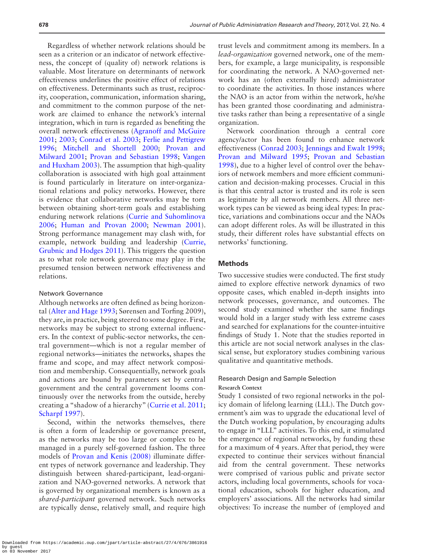Regardless of whether network relations should be seen as a criterion or an indicator of network effectiveness, the concept of (quality of) network relations is valuable. Most literature on determinants of network effectiveness underlines the positive effect of relations on effectiveness. Determinants such as trust, reciprocity, cooperation, communication, information sharing, and commitment to the common purpose of the network are claimed to enhance the network's internal integration, which in turn is regarded as benefiting the overall network effectiveness ([Agranoff and McGuire](#page-14-5)  [2001;](#page-14-5) [2003](#page-14-6); [Conrad et al. 2003;](#page-14-2) [Ferlie and Pettigrew](#page-15-23)  [1996;](#page-15-23) [Mitchell and Shortell 2000;](#page-15-24) [Provan and](#page-15-19)  [Milward 2001](#page-15-19); [Provan and Sebastian 1998;](#page-15-9) [Vangen](#page-15-25)  [and Huxham 2003\)](#page-15-25). The assumption that high-quality collaboration is associated with high goal attainment is found particularly in literature on inter-organizational relations and policy networks. However, there is evidence that collaborative networks may be torn between obtaining short-term goals and establishing enduring network relations ([Currie and Suhomlinova](#page-14-0)  [2006;](#page-14-0) [Human and Provan 2000](#page-15-1); [Newman 2001\)](#page-15-2). Strong performance management may clash with, for example, network building and leadership [\(Currie,](#page-14-7)  [Grubnic and Hodges 2011](#page-14-7)). This triggers the question as to what role network governance may play in the presumed tension between network effectiveness and relations.

## Network Governance

Although networks are often defined as being horizontal ([Alter and Hage 1993](#page-14-8); Sørensen and Torfing 2009), they are, in practice, being steered to some degree. First, networks may be subject to strong external influencers. In the context of public-sector networks, the central government—which is not a regular member of regional networks—initiates the networks, shapes the frame and scope, and may affect network composition and membership. Consequentially, network goals and actions are bound by parameters set by central government and the central government looms continuously over the networks from the outside, hereby creating a "shadow of a hierarchy" [\(Currie et al. 2011;](#page-14-7) [Scharpf 1997](#page-15-26)).

Second, within the networks themselves, there is often a form of leadership or governance present, as the networks may be too large or complex to be managed in a purely self-governed fashion. The three models of [Provan and Kenis \(2008\)](#page-15-3) illuminate different types of network governance and leadership. They distinguish between shared-participant, lead-organization and NAO-governed networks. A network that is governed by organizational members is known as a *shared-participant* governed network. Such networks are typically dense, relatively small, and require high trust levels and commitment among its members. In a *lead-organization* governed network, one of the members, for example, a large municipality, is responsible for coordinating the network. A NAO-governed network has an (often externally hired) administrator to coordinate the activities. In those instances where the NAO is an actor from within the network, he/she has been granted those coordinating and administrative tasks rather than being a representative of a single organization.

Network coordination through a central core agency/actor has been found to enhance network effectiveness [\(Conrad 2003;](#page-14-9) [Jennings and Ewalt 1998;](#page-15-27) [Provan and Milward 1995;](#page-15-28) [Provan and Sebastian](#page-15-9)  [1998\)](#page-15-9), due to a higher level of control over the behaviors of network members and more efficient communication and decision-making processes. Crucial in this is that this central actor is trusted and its role is seen as legitimate by all network members. All three network types can be viewed as being ideal types: In practice, variations and combinations occur and the NAOs can adopt different roles. As will be illustrated in this study, their different roles have substantial effects on networks' functioning.

## **Methods**

Two successive studies were conducted. The first study aimed to explore effective network dynamics of two opposite cases, which enabled in-depth insights into network processes, governance, and outcomes. The second study examined whether the same findings would hold in a larger study with less extreme cases and searched for explanations for the counter-intuitive findings of Study 1. Note that the studies reported in this article are not social network analyses in the classical sense, but exploratory studies combining various qualitative and quantitative methods.

## Research Design and Sample Selection

#### **Research Context**

Study 1 consisted of two regional networks in the policy domain of lifelong learning (LLL). The Dutch government's aim was to upgrade the educational level of the Dutch working population, by encouraging adults to engage in "LLL" activities. To this end, it stimulated the emergence of regional networks, by funding these for a maximum of 4 years. After that period, they were expected to continue their services without financial aid from the central government. These networks were comprised of various public and private sector actors, including local governments, schools for vocational education, schools for higher education, and employers' associations. All the networks had similar objectives: To increase the number of (employed and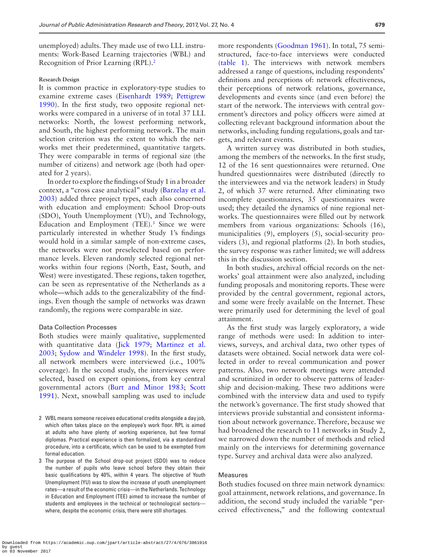unemployed) adults. They made use of two LLL instruments: Work-Based Learning trajectories (WBL) and Recognition of Prior Learning (RPL)[.2](#page-3-0)

#### **Research Design**

It is common practice in exploratory-type studies to examine extreme cases [\(Eisenhardt 1989;](#page-15-29) [Pettigrew](#page-15-30)  [1990\)](#page-15-30). In the first study, two opposite regional networks were compared in a universe of in total 37 LLL networks: North, the lowest performing network, and South, the highest performing network. The main selection criterion was the extent to which the networks met their predetermined, quantitative targets. They were comparable in terms of regional size (the number of citizens) and network age (both had operated for 2 years).

In order to explore the findings of Study 1 in a broader context, a "cross case analytical" study [\(Barzelay et al.](#page-14-10)  [2003\)](#page-14-10) added three project types, each also concerned with education and employment: School Drop-outs (SDO), Youth Unemployment (YU), and Technology, Education and Employment (TEE).<sup>3</sup> Since we were particularly interested in whether Study 1's findings would hold in a similar sample of non-extreme cases, the networks were not preselected based on performance levels. Eleven randomly selected regional networks within four regions (North, East, South, and West) were investigated. These regions, taken together, can be seen as representative of the Netherlands as a whole—which adds to the generalizability of the findings. Even though the sample of networks was drawn randomly, the regions were comparable in size.

#### Data Collection Processes

Both studies were mainly qualitative, supplemented with quantitative data (*Jick 1979*; Martinez et al. [2003;](#page-15-32) [Sydow and Windeler 1998\)](#page-15-12). In the first study, all network members were interviewed (i.e., 100% coverage). In the second study, the interviewees were selected, based on expert opinions, from key central governmental actors [\(Burt and Minor 1983](#page-14-11); [Scott](#page-15-33)  [1991\)](#page-15-33). Next, snowball sampling was used to include

more respondents ([Goodman 1961](#page-15-34)). In total, 75 semistructured, face-to-face interviews were conducted ([table 1\)](#page-4-0). The interviews with network members addressed a range of questions, including respondents' definitions and perceptions of: network effectiveness, their perceptions of network relations, governance, developments and events since (and even before) the start of the network. The interviews with central government's directors and policy officers were aimed at collecting relevant background information about the networks, including funding regulations, goals and targets, and relevant events.

A written survey was distributed in both studies, among the members of the networks. In the first study, 12 of the 16 sent questionnaires were returned. One hundred questionnaires were distributed (directly to the interviewees and via the network leaders) in Study 2, of which 37 were returned. After eliminating two incomplete questionnaires, 35 questionnaires were used; they detailed the dynamics of nine regional networks. The questionnaires were filled out by network members from various organizations: Schools (16), municipalities (9), employers (5), social-security providers (3), and regional platforms (2). In both studies, the survey response was rather limited; we will address this in the discussion section.

In both studies, archival official records on the networks' goal attainment were also analyzed, including funding proposals and monitoring reports. These were provided by the central government, regional actors, and some were freely available on the Internet. These were primarily used for determining the level of goal attainment.

As the first study was largely exploratory, a wide range of methods were used: In addition to interviews, surveys, and archival data, two other types of datasets were obtained. Social network data were collected in order to reveal communication and power patterns. Also, two network meetings were attended and scrutinized in order to observe patterns of leadership and decision-making. These two additions were combined with the interview data and used to typify the network's governance. The first study showed that interviews provide substantial and consistent information about network governance. Therefore, because we had broadened the research to 11 networks in Study 2, we narrowed down the number of methods and relied mainly on the interviews for determining governance type. Survey and archival data were also analyzed.

#### Measures

Both studies focused on three main network dynamics: goal attainment, network relations, and governance. In addition, the second study included the variable "perceived effectiveness," and the following contextual

<span id="page-3-0"></span><sup>2</sup> WBL means someone receives educational credits alongside a day job, which often takes place on the employee's work floor. RPL is aimed at adults who have plenty of working experience, but few formal diplomas. Practical experience is then formalized, via a standardized procedure, into a certificate, which can be used to be exempted from formal education.

<span id="page-3-1"></span><sup>3</sup> The purpose of the School drop-out project (SDO) was to reduce the number of pupils who leave school before they obtain their basic qualifications by 40%, within 4 years. The objective of Youth Unemployment (YU) was to slow the increase of youth unemployment rates—a result of the economic crisis—in the Netherlands. Technology in Education and Employment (TEE) aimed to increase the number of students and employees in the technical or technological sectors where, despite the economic crisis, there were still shortages.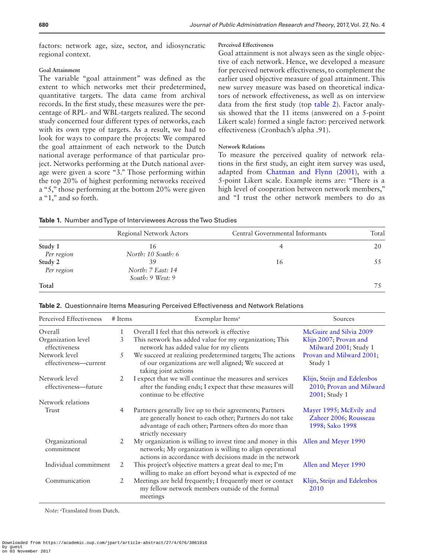factors: network age, size, sector, and idiosyncratic regional context.

## **Goal Attainment**

The variable "goal attainment" was defined as the extent to which networks met their predetermined, quantitative targets. The data came from archival records. In the first study, these measures were the percentage of RPL- and WBL-targets realized. The second study concerned four different types of networks, each with its own type of targets. As a result, we had to look for ways to compare the projects: We compared the goal attainment of each network to the Dutch national average performance of that particular project. Networks performing at the Dutch national average were given a score "3." Those performing within the top 20% of highest performing networks received a "5," those performing at the bottom 20% were given a "1," and so forth.

## **Perceived Effectiveness**

Goal attainment is not always seen as the single objective of each network. Hence, we developed a measure for perceived network effectiveness, to complement the earlier used objective measure of goal attainment. This new survey measure was based on theoretical indicators of network effectiveness, as well as on interview data from the first study (top [table 2](#page-4-1)). Factor analysis showed that the 11 items (answered on a 5-point Likert scale) formed a single factor: perceived network effectiveness (Cronbach's alpha .91).

## **Network Relations**

To measure the perceived quality of network relations in the first study, an eight item survey was used, adapted from [Chatman and Flynn \(2001\),](#page-14-12) with a 5-point Likert scale. Example items are: "There is a high level of cooperation between network members," and "I trust the other network members to do as

<span id="page-4-0"></span>

|            | Regional Network Actors | Central Governmental Informants | Total |
|------------|-------------------------|---------------------------------|-------|
| Study 1    | 16                      | 4                               | 20    |
| Per region | North: 10 South: 6      |                                 |       |
| Study 2    | 39                      | 16                              |       |
| Per region | North: 7 East: 14       |                                 |       |
|            | South: $9$ West: $9$    |                                 |       |
| Total      |                         |                                 |       |

<span id="page-4-1"></span>

|  | Table 2. Questionnaire Items Measuring Perceived Effectiveness and Network Relations |  |  |
|--|--------------------------------------------------------------------------------------|--|--|
|  |                                                                                      |  |  |

| Perceived Effectiveness                | # Items        | Exemplar Items <sup>a</sup>                                                                                                                                                                        | Sources                                                                  |
|----------------------------------------|----------------|----------------------------------------------------------------------------------------------------------------------------------------------------------------------------------------------------|--------------------------------------------------------------------------|
| Overall                                | $\mathbf{1}$   | Overall I feel that this network is effective                                                                                                                                                      | McGuire and Silvia 2009                                                  |
| Organization level<br>effectiveness    | 3              | This network has added value for my organization; This<br>network has added value for my clients                                                                                                   | Klijn 2007; Provan and<br>Milward 2001; Study 1                          |
| Network level<br>effectiveness-current | 5              | We succeed at realizing predetermined targets; The actions<br>of our organizations are well aligned; We succeed at<br>taking joint actions                                                         | Provan and Milward 2001;<br>Study 1                                      |
| Network level<br>effectiveness-future  | 2              | I expect that we will continue the measures and services<br>after the funding ends; I expect that these measures will<br>continue to be effective                                                  | Klijn, Steijn and Edelenbos<br>2010; Provan and Milward<br>2001; Study 1 |
| Network relations                      |                |                                                                                                                                                                                                    |                                                                          |
| Trust                                  | $\overline{4}$ | Partners generally live up to their agreements; Partners<br>are generally honest to each other; Partners do not take<br>advantage of each other; Partners often do more than<br>strictly necessary | Mayer 1995; McEvily and<br>Zaheer 2006; Rousseau<br>1998; Sako 1998      |
| Organizational<br>commitment           | 2              | My organization is willing to invest time and money in this<br>network; My organization is willing to align operational<br>actions in accordance with decisions made in the network                | Allen and Meyer 1990                                                     |
| Individual commitment                  | 2              | This project's objective matters a great deal to me; I'm<br>willing to make an effort beyond what is expected of me                                                                                | Allen and Meyer 1990                                                     |
| Communication                          | 2              | Meetings are held frequently; I frequently meet or contact<br>my fellow network members outside of the formal<br>meetings                                                                          | Klijn, Steijn and Edelenbos<br>2010                                      |

*Note*: a Translated from Dutch.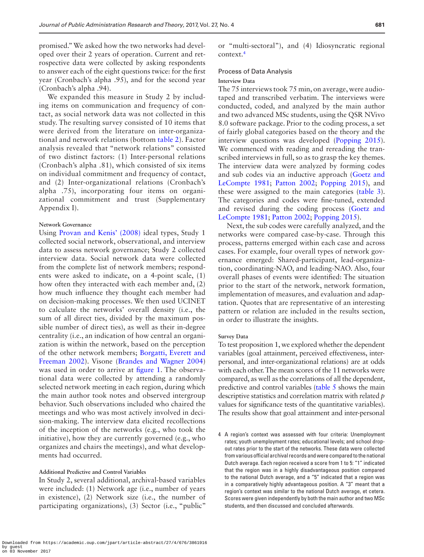promised." We asked how the two networks had developed over their 2 years of operation. Current and retrospective data were collected by asking respondents to answer each of the eight questions twice: for the first year (Cronbach's alpha .95), and for the second year (Cronbach's alpha .94).

We expanded this measure in Study 2 by including items on communication and frequency of contact, as social network data was not collected in this study. The resulting survey consisted of 10 items that were derived from the literature on inter-organizational and network relations (bottom [table 2\)](#page-4-1). Factor analysis revealed that "network relations" consisted of two distinct factors: (1) Inter-personal relations (Cronbach's alpha .81), which consisted of six items on individual commitment and frequency of contact, and (2) Inter-organizational relations (Cronbach's alpha .75), incorporating four items on organizational commitment and trust (Supplementary Appendix I).

#### **Network Governance**

Using [Provan and Kenis' \(2008\)](#page-15-3) ideal types, Study 1 collected social network, observational, and interview data to assess network governance; Study 2 collected interview data. Social network data were collected from the complete list of network members; respondents were asked to indicate, on a 4-point scale, (1) how often they interacted with each member and, (2) how much influence they thought each member had on decision-making processes. We then used UCINET to calculate the networks' overall density (i.e., the sum of all direct ties, divided by the maximum possible number of direct ties), as well as their in-degree centrality (i.e., an indication of how central an organization is within the network, based on the perception of the other network members; [Borgatti, Everett and](#page-14-14)  [Freeman 2002\)](#page-14-14). Visone ([Brandes and Wagner 2004](#page-14-15)) was used in order to arrive at [figure 1](#page-6-0). The observational data were collected by attending a randomly selected network meeting in each region, during which the main author took notes and observed intergroup behavior. Such observations included who chaired the meetings and who was most actively involved in decision-making. The interview data elicited recollections of the inception of the networks (e.g., who took the initiative), how they are currently governed (e.g., who organizes and chairs the meetings), and what developments had occurred.

#### **Additional Predictive and Control Variables**

In Study 2, several additional, archival-based variables were included: (1) Network age (i.e., number of years in existence), (2) Network size (i.e., the number of participating organizations), (3) Sector (i.e., "public"

or "multi-sectoral"), and (4) Idiosyncratic regional context.[4](#page-5-0)

## Process of Data Analysis

#### **Interview Data**

The 75 interviews took 75 min, on average, were audiotaped and transcribed verbatim. The interviews were conducted, coded, and analyzed by the main author and two advanced MSc students, using the QSR NVivo 8.0 software package. Prior to the coding process, a set of fairly global categories based on the theory and the interview questions was developed ([Popping 2015\)](#page-15-40). We commenced with reading and rereading the transcribed interviews in full, so as to grasp the key themes. The interview data were analyzed by forming codes and sub codes via an inductive approach [\(Goetz and](#page-15-41)  [LeCompte 1981](#page-15-41); [Patton 2002;](#page-15-42) [Popping 2015\)](#page-15-40), and these were assigned to the main categories [\(table 3\)](#page-6-1). The categories and codes were fine-tuned, extended and revised during the coding process [\(Goetz and](#page-15-41)  [LeCompte 1981;](#page-15-41) [Patton 2002;](#page-15-42) [Popping 2015\)](#page-15-40).

Next, the sub codes were carefully analyzed, and the networks were compared case-by-case. Through this process, patterns emerged within each case and across cases. For example, four overall types of network governance emerged: Shared-participant, lead-organization, coordinating-NAO, and leading-NAO. Also, four overall phases of events were identified: The situation prior to the start of the network, network formation, implementation of measures, and evaluation and adaptation. Quotes that are representative of an interesting pattern or relation are included in the results section, in order to illustrate the insights.

#### **Survey Data**

To test proposition 1, we explored whether the dependent variables (goal attainment, perceived effectiveness, interpersonal, and inter-organizational relations) are at odds with each other. The mean scores of the 11 networks were compared, as well as the correlations of all the dependent, predictive and control variables ([table 5](#page-10-0) shows the main descriptive statistics and correlation matrix with related *p* values for significance tests of the quantitative variables). The results show that goal attainment and inter-personal

<span id="page-5-0"></span><sup>4</sup> A region's context was assessed with four criteria: Unemployment rates; youth unemployment rates; educational levels; and school dropout rates prior to the start of the networks. These data were collected from various official archival records and were compared to the national Dutch average. Each region received a score from 1 to 5: "1" indicated that the region was in a highly disadvantageous position compared to the national Dutch average, and a "5" indicated that a region was in a comparatively highly advantageous position. A "3" meant that a region's context was similar to the national Dutch average, et cetera. Scores were given independently by both the main author and two MSc students, and then discussed and concluded afterwards.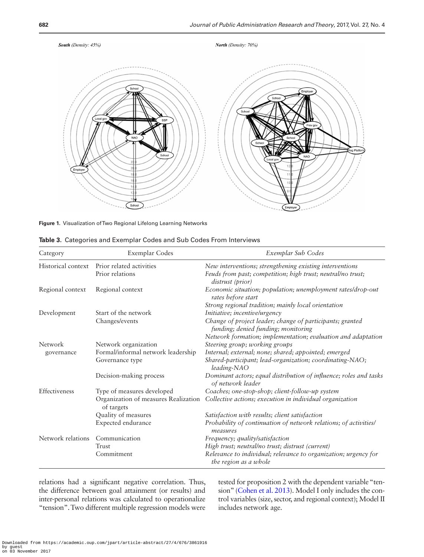#### South (Density: 45%)

North (Density: 70%)



<span id="page-6-0"></span>**Figure 1.** Visualization of Two Regional Lifelong Learning Networks

| Category           | Exemplar Codes                                     | Exemplar Sub Codes                                                                               |
|--------------------|----------------------------------------------------|--------------------------------------------------------------------------------------------------|
| Historical context | Prior related activities                           | New interventions; strengthening existing interventions                                          |
|                    | Prior relations                                    | Feuds from past; competition; high trust; neutral/no trust;<br>distrust (prior)                  |
| Regional context   | Regional context                                   | Economic situation; population; unemployment rates/drop-out<br>rates before start                |
|                    |                                                    | Strong regional tradition; mainly local orientation                                              |
| Development        | Start of the network                               | Initiative; incentive/urgency                                                                    |
|                    | Changes/events                                     | Change of project leader; change of participants; granted<br>funding; denied funding; monitoring |
|                    |                                                    | Network formation; implementation; evaluation and adaptation                                     |
| <b>Network</b>     | Network organization                               | Steering group; working groups                                                                   |
| governance         | Formal/informal network leadership                 | Internal; external; none; shared; appointed; emerged                                             |
|                    | Governance type                                    | Shared-participant; lead-organization; coordinating-NAO;<br>leading-NAO                          |
|                    | Decision-making process                            | Dominant actors; equal distribution of influence; roles and tasks<br>of network leader           |
| Effectiveness      | Type of measures developed                         | Coaches; one-stop-shop; client-follow-up system                                                  |
|                    | Organization of measures Realization<br>of targets | Collective actions; execution in individual organization                                         |
|                    | Quality of measures                                | Satisfaction with results; client satisfaction                                                   |
|                    | Expected endurance                                 | Probability of continuation of network relations; of activities/<br>measures                     |
| Network relations  | Communication                                      | Frequency; quality/satisfaction                                                                  |
|                    | Trust                                              | High trust; neutral/no trust; distrust (current)                                                 |
|                    | Commitment                                         | Relevance to individual; relevance to organization; urgency for<br>the region as a whole         |

<span id="page-6-1"></span>

|  |  | Table 3. Categories and Exemplar Codes and Sub Codes From Interviews |  |  |  |  |  |
|--|--|----------------------------------------------------------------------|--|--|--|--|--|
|--|--|----------------------------------------------------------------------|--|--|--|--|--|

relations had a significant negative correlation. Thus, the difference between goal attainment (or results) and inter-personal relations was calculated to operationalize "tension". Two different multiple regression models were tested for proposition 2 with the dependent variable "tension" [\(Cohen et al. 2013](#page-14-16)). Model I only includes the control variables (size, sector, and regional context); Model II includes network age.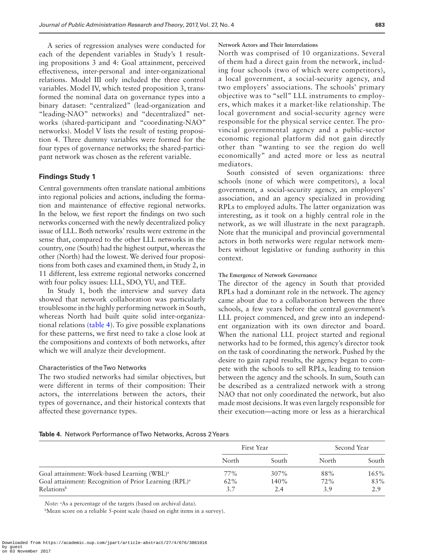A series of regression analyses were conducted for each of the dependent variables in Study's 1 resulting propositions 3 and 4: Goal attainment, perceived effectiveness, inter-personal and inter-organizational relations. Model III only included the three control variables. Model IV, which tested proposition 3, transformed the nominal data on governance types into a binary dataset: "centralized" (lead-organization and "leading-NAO" networks) and "decentralized" networks (shared-participant and "coordinating-NAO" networks). Model V lists the result of testing proposition 4. Three dummy variables were formed for the four types of governance networks; the shared-participant network was chosen as the referent variable.

## **Findings Study 1**

Central governments often translate national ambitions into regional policies and actions, including the formation and maintenance of effective regional networks. In the below, we first report the findings on two such networks concerned with the newly decentralized policy issue of LLL. Both networks' results were extreme in the sense that, compared to the other LLL networks in the country, one (South) had the highest output, whereas the other (North) had the lowest. We derived four propositions from both cases and examined them, in Study 2, in 11 different, less extreme regional networks concerned with four policy issues: LLL, SDO, YU, and TEE.

In Study 1, both the interview and survey data showed that network collaboration was particularly troublesome in the highly performing network in South, whereas North had built quite solid inter-organizational relations [\(table 4\)](#page-7-0). To give possible explanations for these patterns, we first need to take a close look at the compositions and contexts of both networks, after which we will analyze their development.

## Characteristics of the Two Networks

The two studied networks had similar objectives, but were different in terms of their composition: Their actors, the interrelations between the actors, their types of governance, and their historical contexts that affected these governance types.

#### **Network Actors and Their Interrelations**

North was comprised of 10 organizations. Several of them had a direct gain from the network, including four schools (two of which were competitors), a local government, a social-security agency, and two employers' associations. The schools' primary objective was to "sell" LLL instruments to employers, which makes it a market-like relationship. The local government and social-security agency were responsible for the physical service center. The provincial governmental agency and a public-sector economic regional platform did not gain directly other than "wanting to see the region do well economically" and acted more or less as neutral mediators.

South consisted of seven organizations: three schools (none of which were competitors), a local government, a social-security agency, an employers' association, and an agency specialized in providing RPLs to employed adults. The latter organization was interesting, as it took on a highly central role in the network, as we will illustrate in the next paragraph. Note that the municipal and provincial governmental actors in both networks were regular network members without legislative or funding authority in this context.

#### **The Emergence of Network Governance**

The director of the agency in South that provided RPLs had a dominant role in the network. The agency came about due to a collaboration between the three schools, a few years before the central government's LLL project commenced, and grew into an independent organization with its own director and board. When the national LLL project started and regional networks had to be formed, this agency's director took on the task of coordinating the network. Pushed by the desire to gain rapid results, the agency began to compete with the schools to sell RPLs, leading to tension between the agency and the schools. In sum, South can be described as a centralized network with a strong NAO that not only coordinated the network, but also made most decisions. It was even largely responsible for their execution—acting more or less as a hierarchical

#### <span id="page-7-0"></span>**Table 4.** Network Performance of Two Networks, Across 2 Years

|                                                                   | First Year |       | Second Year |       |
|-------------------------------------------------------------------|------------|-------|-------------|-------|
|                                                                   | North      | South | North       | South |
| Goal attainment: Work-based Learning (WBL) <sup>a</sup>           | 77%        | 307%  | 88%         | 165%  |
| Goal attainment: Recognition of Prior Learning (RPL) <sup>a</sup> | $62\%$     | 140%  | 72%         | 83%   |
| Relationsb                                                        | 3.7        | 2.4   | 3.9         | 2.9   |

Note: <sup>a</sup>As a percentage of the targets (based on archival data).

bMean score on a reliable 5-point scale (based on eight items in a survey).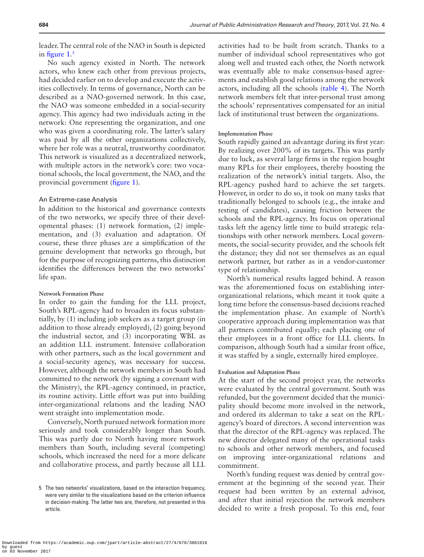leader. The central role of the NAO in South is depicted in [figure 1.](#page-6-0) [5](#page-8-0)

No such agency existed in North. The network actors, who knew each other from previous projects, had decided earlier on to develop and execute the activities collectively. In terms of governance, North can be described as a NAO-governed network. In this case, the NAO was someone embedded in a social-security agency. This agency had two individuals acting in the network: One representing the organization, and one who was given a coordinating role. The latter's salary was paid by all the other organizations collectively, where her role was a neutral, trustworthy coordinator. This network is visualized as a decentralized network, with multiple actors in the network's core: two vocational schools, the local government, the NAO, and the provincial government ([figure 1\)](#page-6-0).

## An Extreme-case Analysis

In addition to the historical and governance contexts of the two networks, we specify three of their developmental phases: (1) network formation, (2) implementation, and (3) evaluation and adaptation. Of course, these three phases are a simplification of the genuine development that networks go through, but for the purpose of recognizing patterns, this distinction identifies the differences between the two networks' life span.

## **Network Formation Phase**

In order to gain the funding for the LLL project, South's RPL-agency had to broaden its focus substantially, by (1) including job seekers as a target group (in addition to those already employed), (2) going beyond the industrial sector, and (3) incorporating WBL as an addition LLL instrument. Intensive collaboration with other partners, such as the local government and a social-security agency, was necessary for success. However, although the network members in South had committed to the network (by signing a covenant with the Ministry), the RPL-agency continued, in practice, its routine activity. Little effort was put into building inter-organizational relations and the leading NAO went straight into implementation mode.

Conversely, North pursued network formation more seriously and took considerably longer than South. This was partly due to North having more network members than South, including several (competing) schools, which increased the need for a more delicate and collaborative process, and partly because all LLL

activities had to be built from scratch. Thanks to a number of individual school representatives who got along well and trusted each other, the North network was eventually able to make consensus-based agreements and establish good relations among the network actors, including all the schools ([table 4](#page-7-0)). The North network members felt that inter-personal trust among the schools' representatives compensated for an initial lack of institutional trust between the organizations.

## **Implementation Phase**

South rapidly gained an advantage during its first year: By realizing over 200% of its targets. This was partly due to luck, as several large firms in the region bought many RPLs for their employees, thereby boosting the realization of the network's initial targets. Also, the RPL-agency pushed hard to achieve the set targets. However, in order to do so, it took on many tasks that traditionally belonged to schools (e.g., the intake and testing of candidates), causing friction between the schools and the RPL-agency. Its focus on operational tasks left the agency little time to build strategic relationships with other network members. Local governments, the social-security provider, and the schools felt the distance; they did not see themselves as an equal network partner, but rather as in a vendor-customer type of relationship.

North's numerical results lagged behind. A reason was the aforementioned focus on establishing interorganizational relations, which meant it took quite a long time before the consensus-based decisions reached the implementation phase. An example of North's cooperative approach during implementation was that all partners contributed equally; each placing one of their employees in a front office for LLL clients. In comparison, although South had a similar front office, it was staffed by a single, externally hired employee.

## **Evaluation and Adaptation Phase**

At the start of the second project year, the networks were evaluated by the central government. South was refunded, but the government decided that the municipality should become more involved in the network, and ordered its alderman to take a seat on the RPLagency's board of directors. A second intervention was that the director of the RPL-agency was replaced. The new director delegated many of the operational tasks to schools and other network members, and focused on improving inter-organizational relations and commitment.

North's funding request was denied by central government at the beginning of the second year. Their request had been written by an external advisor, and after that initial rejection the network members decided to write a fresh proposal. To this end, four

<span id="page-8-0"></span><sup>5</sup> The two networks' visualizations, based on the interaction frequency, were very similar to the visualizations based on the criterion influence in decision-making. The latter two are, therefore, not presented in this article.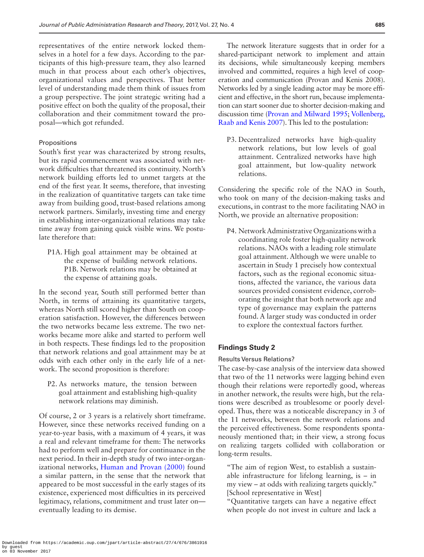representatives of the entire network locked themselves in a hotel for a few days. According to the participants of this high-pressure team, they also learned much in that process about each other's objectives, organizational values and perspectives. That better level of understanding made them think of issues from a group perspective. The joint strategic writing had a positive effect on both the quality of the proposal, their collaboration and their commitment toward the proposal—which got refunded.

## Propositions

South's first year was characterized by strong results, but its rapid commencement was associated with network difficulties that threatened its continuity. North's network building efforts led to unmet targets at the end of the first year. It seems, therefore, that investing in the realization of quantitative targets can take time away from building good, trust-based relations among network partners. Similarly, investing time and energy in establishing inter-organizational relations may take time away from gaining quick visible wins. We postulate therefore that:

P1A. High goal attainment may be obtained at the expense of building network relations. P1B. Network relations may be obtained at the expense of attaining goals.

In the second year, South still performed better than North, in terms of attaining its quantitative targets, whereas North still scored higher than South on cooperation satisfaction. However, the differences between the two networks became less extreme. The two networks became more alike and started to perform well in both respects. These findings led to the proposition that network relations and goal attainment may be at odds with each other only in the early life of a network. The second proposition is therefore:

P2. As networks mature, the tension between goal attainment and establishing high-quality network relations may diminish.

Of course, 2 or 3 years is a relatively short timeframe. However, since these networks received funding on a year-to-year basis, with a maximum of 4 years, it was a real and relevant timeframe for them: The networks had to perform well and prepare for continuance in the next period. In their in-depth study of two inter-organizational networks, [Human and Provan \(2000\)](#page-15-1) found a similar pattern, in the sense that the network that appeared to be most successful in the early stages of its existence, experienced most difficulties in its perceived legitimacy, relations, commitment and trust later on eventually leading to its demise.

The network literature suggests that in order for a shared-participant network to implement and attain its decisions, while simultaneously keeping members involved and committed, requires a high level of cooperation and communication (Provan and Kenis 2008). Networks led by a single leading actor may be more efficient and effective, in the short run, because implementation can start sooner due to shorter decision-making and discussion time [\(Provan and Milward 1995](#page-15-28); [Vollenberg,](#page-15-5)  [Raab and Kenis 2007](#page-15-5)). This led to the postulation:

P3. Decentralized networks have high-quality network relations, but low levels of goal attainment. Centralized networks have high goal attainment, but low-quality network relations.

Considering the specific role of the NAO in South, who took on many of the decision-making tasks and executions, in contrast to the more facilitating NAO in North, we provide an alternative proposition:

P4. Network Administrative Organizations with a coordinating role foster high-quality network relations. NAOs with a leading role stimulate goal attainment. Although we were unable to ascertain in Study 1 precisely how contextual factors, such as the regional economic situations, affected the variance, the various data sources provided consistent evidence, corroborating the insight that both network age and type of governance may explain the patterns found. A larger study was conducted in order to explore the contextual factors further.

## **Findings Study 2**

#### Results Versus Relations?

The case-by-case analysis of the interview data showed that two of the 11 networks were lagging behind even though their relations were reportedly good, whereas in another network, the results were high, but the relations were described as troublesome or poorly developed. Thus, there was a noticeable discrepancy in 3 of the 11 networks, between the network relations and the perceived effectiveness. Some respondents spontaneously mentioned that; in their view, a strong focus on realizing targets collided with collaboration or long-term results.

"The aim of region West, to establish a sustainable infrastructure for lifelong learning, is – in my view – at odds with realizing targets quickly." [School representative in West]

"Quantitative targets can have a negative effect when people do not invest in culture and lack a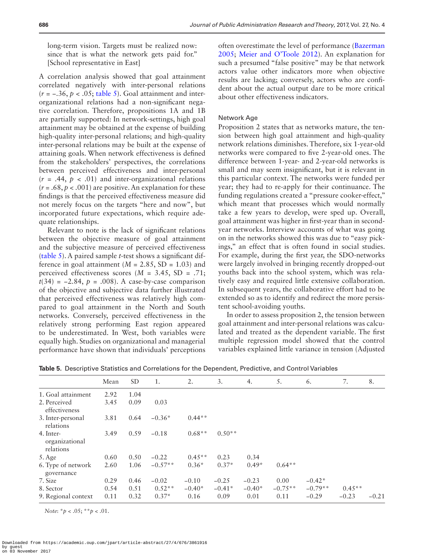long-term vision. Targets must be realized now: since that is what the network gets paid for." [School representative in East]

A correlation analysis showed that goal attainment correlated negatively with inter-personal relations (*r* = −.36, *p* < .05; [table 5](#page-10-0)). Goal attainment and interorganizational relations had a non-significant negative correlation. Therefore, propositions 1A and 1B are partially supported: In network-settings, high goal attainment may be obtained at the expense of building high-quality inter-personal relations; and high-quality inter-personal relations may be built at the expense of attaining goals. When network effectiveness is defined from the stakeholders' perspectives, the correlations between perceived effectiveness and inter-personal  $(r = .44, p < .01)$  and inter-organizational relations  $(r = .68, p < .001)$  are positive. An explanation for these findings is that the perceived effectiveness measure did not merely focus on the targets "here and now", but incorporated future expectations, which require adequate relationships.

Relevant to note is the lack of significant relations between the objective measure of goal attainment and the subjective measure of perceived effectiveness ([table 5](#page-10-0)). A paired sample *t*-test shows a significant difference in goal attainment  $(M = 2.85, SD = 1.03)$  and perceived effectiveness scores  $(M = 3.45, SD = .71;$ *t*(34) =  $-2.84$ , *p* =  $.008$ ). A case-by-case comparison of the objective and subjective data further illustrated that perceived effectiveness was relatively high compared to goal attainment in the North and South networks. Conversely, perceived effectiveness in the relatively strong performing East region appeared to be underestimated. In West, both variables were equally high. Studies on organizational and managerial performance have shown that individuals' perceptions

often overestimate the level of performance ([Bazerman](#page-14-17)  [2005;](#page-14-17) [Meier and O'Toole 2012\)](#page-15-43). An explanation for such a presumed "false positive" may be that network actors value other indicators more when objective results are lacking; conversely, actors who are confident about the actual output dare to be more critical about other effectiveness indicators.

## Network Age

Proposition 2 states that as networks mature, the tension between high goal attainment and high-quality network relations diminishes. Therefore, six 1-year-old networks were compared to five 2-year-old ones. The difference between 1-year- and 2-year-old networks is small and may seem insignificant, but it is relevant in this particular context. The networks were funded per year; they had to re-apply for their continuance. The funding regulations created a "pressure cooker-effect," which meant that processes which would normally take a few years to develop, were sped up. Overall, goal attainment was higher in first-year than in secondyear networks. Interview accounts of what was going on in the networks showed this was due to "easy pickings," an effect that is often found in social studies. For example, during the first year, the SDO-networks were largely involved in bringing recently dropped-out youths back into the school system, which was relatively easy and required little extensive collaboration. In subsequent years, the collaborative effort had to be extended so as to identify and redirect the more persistent school-avoiding youths.

In order to assess proposition 2, the tension between goal attainment and inter-personal relations was calculated and treated as the dependent variable. The first multiple regression model showed that the control variables explained little variance in tension (Adjusted

|                                          | Mean | <b>SD</b> | 1.        | 2.       | 3.       | 4.       | 5.        | 6.        | 7.       | 8.      |
|------------------------------------------|------|-----------|-----------|----------|----------|----------|-----------|-----------|----------|---------|
| 1. Goal attainment                       | 2.92 | 1.04      |           |          |          |          |           |           |          |         |
| 2. Perceived<br>effectiveness            | 3.45 | 0.09      | 0.03      |          |          |          |           |           |          |         |
| 3. Inter-personal<br>relations           | 3.81 | 0.64      | $-0.36*$  | $0.44**$ |          |          |           |           |          |         |
| 4. Inter-<br>organizational<br>relations | 3.49 | 0.59      | $-0.18$   | $0.68**$ | $0.50**$ |          |           |           |          |         |
| 5. Age                                   | 0.60 | 0.50      | $-0.22$   | $0.45**$ | 0.23     | 0.34     |           |           |          |         |
| 6. Type of network<br>governance         | 2.60 | 1.06      | $-0.57**$ | $0.36*$  | $0.37*$  | $0.49*$  | $0.64**$  |           |          |         |
| 7. Size                                  | 0.29 | 0.46      | $-0.02$   | $-0.10$  | $-0.25$  | $-0.23$  | 0.00      | $-0.42*$  |          |         |
| 8. Sector                                | 0.54 | 0.51      | $0.52**$  | $-0.40*$ | $-0.41*$ | $-0.40*$ | $-0.75**$ | $-0.79**$ | $0.45**$ |         |
| 9. Regional context                      | 0.11 | 0.32      | $0.37*$   | 0.16     | 0.09     | 0.01     | 0.11      | $-0.29$   | $-0.23$  | $-0.21$ |

<span id="page-10-0"></span>**Table 5.** Descriptive Statistics and Correlations for the Dependent, Predictive, and Control Variables

*Note*: \**p* < .05; \*\**p* < .01.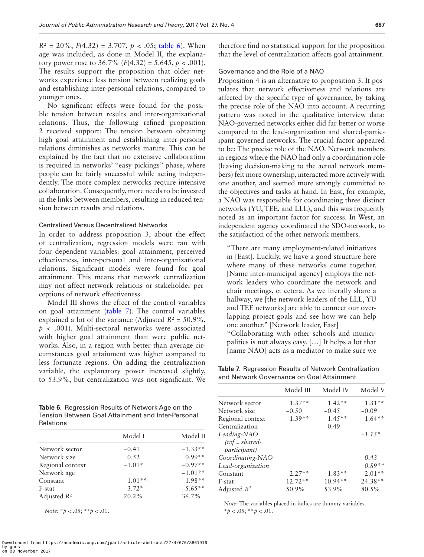$R^2 = 20\%, F(4.32) = 3.707, p < .05$ ; [table 6\)](#page-11-0). When age was included, as done in Model II, the explanatory power rose to  $36.7\%$  (*F*(4.32) =  $5.645$ , *p* < .001). The results support the proposition that older networks experience less tension between realizing goals and establishing inter-personal relations, compared to younger ones.

No significant effects were found for the possible tension between results and inter-organizational relations. Thus, the following refined proposition 2 received support: The tension between obtaining high goal attainment and establishing inter-personal relations diminishes as networks mature. This can be explained by the fact that no extensive collaboration is required in networks' "easy pickings" phase, where people can be fairly successful while acting independently. The more complex networks require intensive collaboration. Consequently, more needs to be invested in the links between members, resulting in reduced tension between results and relations.

## Centralized Versus Decentralized Networks

In order to address proposition 3, about the effect of centralization, regression models were ran with four dependent variables: goal attainment, perceived effectiveness, inter-personal and inter-organizational relations. Significant models were found for goal attainment. This means that network centralization may not affect network relations or stakeholder perceptions of network effectiveness.

Model III shows the effect of the control variables on goal attainment ([table 7\)](#page-11-1). The control variables explained a lot of the variance (Adjusted  $R^2 = 50.9\%$ , *p* < .001). Multi-sectoral networks were associated with higher goal attainment than were public networks. Also, in a region with better than average circumstances goal attainment was higher compared to less fortunate regions. On adding the centralization variable, the explanatory power increased slightly, to 53.9%, but centralization was not significant. We

<span id="page-11-0"></span>**Table 6.** Regression Results of Network Age on the Tension Between Goal Attainment and Inter-Personal Relations

|                  | Model I  | Model II  |
|------------------|----------|-----------|
| Network sector   | $-0.41$  | $-1.33**$ |
| Network size     | 0.52     | $0.99**$  |
| Regional context | $-1.01*$ | $-0.97**$ |
| Network age      |          | $-1.01**$ |
| Constant         | $1.01**$ | $1.98**$  |
| F-stat           | $3.72*$  | $5.65**$  |
| Adjusted $R^2$   | 20.2%    | 36.7%     |
|                  |          |           |

*Note*: \**p* < .05; \*\**p* < .01.

therefore find no statistical support for the proposition that the level of centralization affects goal attainment.

## Governance and the Role of a NAO

Proposition 4 is an alternative to proposition 3. It postulates that network effectiveness and relations are affected by the specific type of governance, by taking the precise role of the NAO into account. A recurring pattern was noted in the qualitative interview data: NAO-governed networks either did far better or worse compared to the lead-organization and shared-participant governed networks. The crucial factor appeared to be: The precise role of the NAO. Network members in regions where the NAO had only a coordination role (leaving decision-making to the actual network members) felt more ownership, interacted more actively with one another, and seemed more strongly committed to the objectives and tasks at hand. In East, for example, a NAO was responsible for coordinating three distinct networks (YU, TEE, and LLL), and this was frequently noted as an important factor for success. In West, an independent agency coordinated the SDO-network, to the satisfaction of the other network members.

"There are many employment-related initiatives in [East]. Luckily, we have a good structure here where many of these networks come together. [Name inter-municipal agency] employs the network leaders who coordinate the network and chair meetings, et cetera. As we literally share a hallway, we [the network leaders of the LLL, YU and TEE networks] are able to connect our overlapping project goals and see how we can help one another." [Network leader, East]

"Collaborating with other schools and municipalities is not always easy. […] It helps a lot that [name NAO] acts as a mediator to make sure we

<span id="page-11-1"></span>**Table 7.** Regression Results of Network Centralization and Network Governance on Goal Attainment

|                   | Model III | Model IV  | Model V   |
|-------------------|-----------|-----------|-----------|
| Network sector    | $1.37**$  | $1.42**$  | $1.31**$  |
| Network size      | $-0.50$   | $-0.45$   | $-0.09$   |
| Regional context  | $1.39**$  | $1.45**$  | $1.64**$  |
| Centralization    |           | 0.49      |           |
| Leading-NAO       |           |           | $-1.15*$  |
| $ref = shared$ -  |           |           |           |
| participant)      |           |           |           |
| Coordinating-NAO  |           |           | 0.43      |
| Lead-organization |           |           | $0.89**$  |
| Constant          | $2.27**$  | $1.83**$  | $2.01**$  |
| F-stat            | $12.72**$ | $10.94**$ | $24.38**$ |
| Adjusted $R^2$    | 50.9%     | 53.9%     | 80.5%     |

*Note*: The variables placed in italics are dummy variables.  $**p* < .05; ***p* < .01.$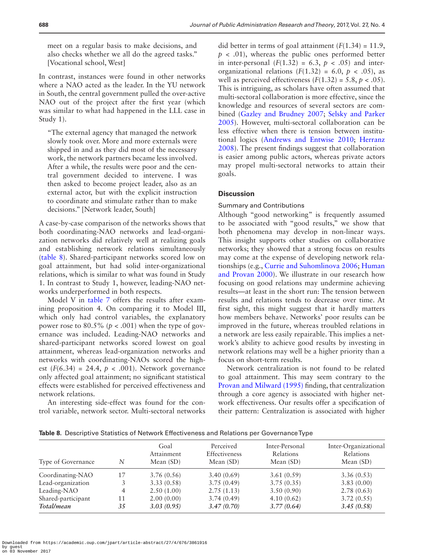meet on a regular basis to make decisions, and also checks whether we all do the agreed tasks." [Vocational school, West]

In contrast, instances were found in other networks where a NAO acted as the leader. In the YU network in South, the central government pulled the over-active NAO out of the project after the first year (which was similar to what had happened in the LLL case in Study 1).

"The external agency that managed the network slowly took over. More and more externals were shipped in and as they did most of the necessary work, the network partners became less involved. After a while, the results were poor and the central government decided to intervene. I was then asked to become project leader, also as an external actor, but with the explicit instruction to coordinate and stimulate rather than to make decisions." [Network leader, South]

A case-by-case comparison of the networks shows that both coordinating-NAO networks and lead-organization networks did relatively well at realizing goals and establishing network relations simultaneously ([table 8\)](#page-12-0). Shared-participant networks scored low on goal attainment, but had solid inter-organizational relations, which is similar to what was found in Study 1. In contrast to Study 1, however, leading-NAO networks underperformed in both respects.

Model V in table 7 offers the results after examining proposition 4. On comparing it to Model III, which only had control variables, the explanatory power rose to 80.5% ( $p < .001$ ) when the type of governance was included. Leading-NAO networks and shared-participant networks scored lowest on goal attainment, whereas lead-organization networks and networks with coordinating-NAOs scored the highest  $(F(6.34) = 24.4, p < .001)$ . Network governance only affected goal attainment; no significant statistical effects were established for perceived effectiveness and network relations.

An interesting side-effect was found for the control variable, network sector. Multi-sectoral networks

did better in terms of goal attainment  $(F(1.34) = 11.9)$ ,  $p \lt 0.01$ , whereas the public ones performed better in inter-personal  $(F(1.32) = 6.3, p < .05)$  and interorganizational relations  $(F(1.32) = 6.0, p < .05)$ , as well as perceived effectiveness  $(F(1.32) = 5.8, p < .05)$ . This is intriguing, as scholars have often assumed that multi-sectoral collaboration is more effective, since the knowledge and resources of several sectors are combined [\(Gazley and Brudney 2007](#page-15-44); [Selsky and Parker](#page-15-45)  [2005\)](#page-15-45). However, multi-sectoral collaboration can be less effective when there is tension between institutional logics [\(Andrews and Entwise 2010;](#page-14-18) [Herranz](#page-15-46)  [2008\)](#page-15-46). The present findings suggest that collaboration is easier among public actors, whereas private actors may propel multi-sectoral networks to attain their goals.

## **Discussion**

#### Summary and Contributions

Although "good networking" is frequently assumed to be associated with "good results," we show that both phenomena may develop in non-linear ways. This insight supports other studies on collaborative networks; they showed that a strong focus on results may come at the expense of developing network relationships (e.g., [Currie and Suhomlinova 2006](#page-14-0); [Human](#page-15-1)  [and Provan 2000](#page-15-1)). We illustrate in our research how focusing on good relations may undermine achieving results—at least in the short run: The tension between results and relations tends to decrease over time. At first sight, this might suggest that it hardly matters how members behave. Networks' poor results can be improved in the future, whereas troubled relations in a network are less easily repairable. This implies a network's ability to achieve good results by investing in network relations may well be a higher priority than a focus on short-term results.

Network centralization is not found to be related to goal attainment. This may seem contrary to the [Provan and Milward \(1995\)](#page-15-28) finding, that centralization through a core agency is associated with higher network effectiveness. Our results offer a specification of their pattern: Centralization is associated with higher

<span id="page-12-0"></span>**Table 8.** Descriptive Statistics of Network Effectiveness and Relations per Governance Type

| Type of Governance | N  | Goal<br>Attainment<br>Mean $(SD)$ | Perceived<br><b>Effectiveness</b><br>Mean $(SD)$ | Inter-Personal<br><b>Relations</b><br>Mean $(SD)$ | Inter-Organizational<br>Relations<br>Mean $(SD)$ |
|--------------------|----|-----------------------------------|--------------------------------------------------|---------------------------------------------------|--------------------------------------------------|
| Coordinating-NAO   | 17 | 3.76(0.56)                        | 3.40(0.69)                                       | 3.61(0.59)                                        | 3.36(0.53)                                       |
| Lead-organization  | 3  | 3.33(0.58)                        | 3.75(0.49)                                       | 3.75(0.35)                                        | 3.83(0.00)                                       |
| Leading-NAO        | 4  | 2.50(1.00)                        | 2.75(1.13)                                       | 3.50(0.90)                                        | 2.78(0.63)                                       |
| Shared-participant | 11 | 2.00(0.00)                        | 3.74(0.49)                                       | 4.10(0.62)                                        | 3.72(0.55)                                       |
| Total/mean         | 35 | 3.03(0.95)                        | 3.47(0.70)                                       | 3.77(0.64)                                        | 3.45(0.58)                                       |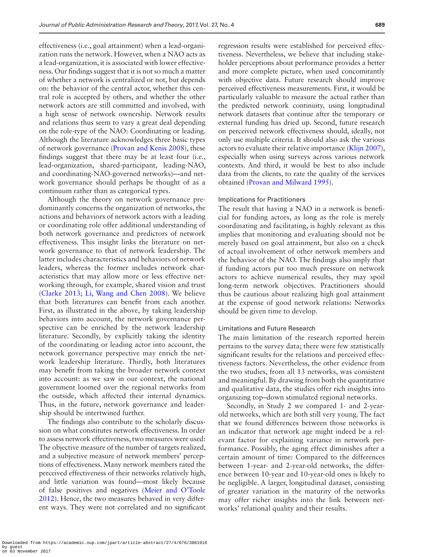effectiveness (i.e., goal attainment) when a lead-organization runs the network. However, when a NAO acts as a lead-organization, it is associated with lower effectiveness. Our findings suggest that it is not so much a matter of whether a network is centralized or not, but depends on: the behavior of the central actor, whether this central role is accepted by others, and whether the other network actors are still committed and involved, with a high sense of network ownership. Network results and relations thus seem to vary a great deal depending on the role-type of the NAO: Coordinating or leading. Although the literature acknowledges three basic types of network governance ([Provan and Kenis 2008\)](#page-15-3), these findings suggest that there may be at least four (i.e., lead-organization, shared-participant, leading-NAO, and coordinating-NAO-governed networks)—and network governance should perhaps be thought of as a continuum rather than as categorical types.

Although the theory on network governance predominantly concerns the organization of networks, the actions and behaviors of network actors with a leading or coordinating role offer additional understanding of both network governance and predictors of network effectiveness. This insight links the literature on network governance to that of network leadership. The latter includes characteristics and behaviors of network leaders, whereas the former includes network characteristics that may allow more or less effective networking through, for example, shared vision and trust ([Clarke 2013](#page-14-19); [Li, Wang and Chen 2008](#page-15-47)). We believe that both literatures can benefit from each another. First, as illustrated in the above, by taking leadership behaviors into account, the network governance perspective can be enriched by the network leadership literature. Secondly, by explicitly taking the identity of the coordinating or leading actor into account, the network governance perspective may enrich the network leadership literature. Thirdly, both literatures may benefit from taking the broader network context into account: as we saw in our context, the national government loomed over the regional networks from the outside, which affected their internal dynamics. Thus, in the future, network governance and leadership should be intertwined further.

The findings also contribute to the scholarly discussion on what constitutes network effectiveness. In order to assess network effectiveness, two measures were used: The objective measure of the number of targets realized, and a subjective measure of network members' perceptions of effectiveness. Many network members rated the perceived effectiveness of their networks relatively high, and little variation was found—most likely because of false positives and negatives ([Meier and O'Toole](#page-15-43)  [2012](#page-15-43)). Hence, the two measures behaved in very different ways. They were not correlated and no significant

regression results were established for perceived effectiveness. Nevertheless, we believe that including stakeholder perceptions about performance provides a better and more complete picture, when used concomitantly with objective data. Future research should improve perceived effectiveness measurements. First, it would be particularly valuable to measure the actual rather than the predicted network continuity, using longitudinal network datasets that continue after the temporary or external funding has dried up. Second, future research on perceived network effectiveness should, ideally, not only use multiple criteria. It should also ask the various actors to evaluate their relative importance [\(Klijn 2007\)](#page-15-16), especially when using surveys across various network contexts. And third, it would be best to also include data from the clients, to rate the quality of the services obtained ([Provan and Milward 1995](#page-15-28)).

### Implications for Practitioners

The result that having a NAO in a network is beneficial for funding actors, as long as the role is merely coordinating and facilitating, is highly relevant as this implies that monitoring and evaluating should not be merely based on goal attainment, but also on a check of actual involvement of other network members and the behavior of the NAO. The findings also imply that if funding actors put too much pressure on network actors to achieve numerical results, they may spoil long-term network objectives. Practitioners should thus be cautious about realizing high goal attainment at the expense of good network relations: Networks should be given time to develop.

## Limitations and Future Research

The main limitation of the research reported herein pertains to the survey data; there were few statistically significant results for the relations and perceived effectiveness factors. Nevertheless, the other evidence from the two studies, from all 13 networks, was consistent and meaningful. By drawing from both the quantitative and qualitative data, the studies offer rich insights into organizing top–down stimulated regional networks.

Secondly, in Study 2 we compared 1- and 2-yearold networks, which are both still very young. The fact that we found differences between those networks is an indicator that network age might indeed be a relevant factor for explaining variance in network performance. Possibly, the aging effect diminishes after a certain amount of time: Compared to the differences between 1-year- and 2-year-old networks, the difference between 10-year and 10-year-old ones is likely to be negligible. A larger, longitudinal dataset, consisting of greater variation in the maturity of the networks may offer richer insights into the link between networks' relational quality and their results.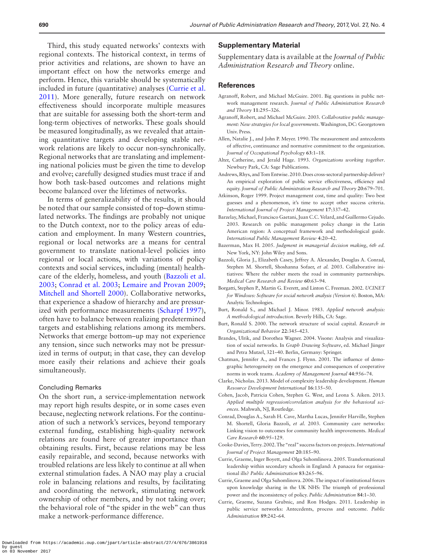Third, this study equated networks' contexts with regional contexts. The historical context, in terms of prior activities and relations, are shown to have an important effect on how the networks emerge and perform. Hence, this variable should be systematically included in future (quantitative) analyses [\(Currie et al.](#page-14-7)  [2011\)](#page-14-7). More generally, future research on network effectiveness should incorporate multiple measures that are suitable for assessing both the short-term and long-term objectives of networks. These goals should be measured longitudinally, as we revealed that attaining quantitative targets and developing stable network relations are likely to occur non-synchronically. Regional networks that are translating and implementing national policies must be given the time to develop and evolve; carefully designed studies must trace if and how both task-based outcomes and relations might become balanced over the lifetimes of networks.

In terms of generalizability of the results, it should be noted that our sample consisted of top–down stimulated networks. The findings are probably not unique to the Dutch context, nor to the policy areas of education and employment. In many Western countries, regional or local networks are a means for central government to translate national-level policies into regional or local actions, with variations of policy contexts and social services, including (mental) healthcare of the elderly, homeless, and youth [\(Bazzoli et al.](#page-14-2)  [2003;](#page-14-2) [Conrad et al. 2003;](#page-14-2) [Lemaire and Provan 2009;](#page-15-7) [Mitchell and Shortell 2000\)](#page-15-24). Collaborative networks, that experience a shadow of hierarchy and are pressurized with performance measurements [\(Scharpf 1997\)](#page-15-26), often have to balance between realizing predetermined targets and establishing relations among its members. Networks that emerge bottom–up may not experience any tension, since such networks may not be pressurized in terms of output; in that case, they can develop more easily their relations and achieve their goals simultaneously.

#### Concluding Remarks

On the short run, a service-implementation network may report high results despite, or in some cases even because, neglecting network relations. For the continuation of such a network's services, beyond temporary external funding, establishing high-quality network relations are found here of greater importance than obtaining results. First, because relations may be less easily repairable, and second, because networks with troubled relations are less likely to continue at all when external stimulation fades. A NAO may play a crucial role in balancing relations and results, by facilitating and coordinating the network, stimulating network ownership of other members, and by not taking over; the behavioral role of "the spider in the web" can thus make a network-performance difference.

## **Supplementary Material**

Supplementary data is available at the *Journal of Public Administration Research and Theory* online.

## **References**

- <span id="page-14-5"></span>Agranoff, Robert, and Michael McGuire. 2001. Big questions in public network management research. *Journal of Public Administration Research and Theory* **11**:295–326.
- <span id="page-14-6"></span>Agranoff, Robert, and Michael McGuire. 2003. *Collaborative public management: New strategies for local governments*. Washington, DC: Georgetown Univ. Press.
- <span id="page-14-13"></span>Allen, Natalie J., and John P. Meyer. 1990. The measurement and antecedents of affective, continuance and normative commitment to the organization. *Journal of Occupational Psychology* **63**:1–18.
- <span id="page-14-8"></span>Alter, Catherine, and Jerald Hage. 1993. *Organizations working together*. Newbury Park, CA: Sage Publications.
- <span id="page-14-18"></span>Andrews, Rhys, and Tom Entwise. 2010. Does cross-sectoral partnership deliver? An empirical exploration of public service effectiveness, efficiency and equity. *Journal of Public Administration Research and Theory* **20**:679–701.
- <span id="page-14-3"></span>Atkinson, Roger 1999. Project management cost, time and quality: Two best guesses and a phenomenon, it's time to accept other success criteria. *International Journal of Project Management* **17**:337–42.
- <span id="page-14-10"></span>Barzelay, Michael, Francisco Gaetani, Juan C.C. Velard, and Guillermo Cejudo. 2003. Research on public management policy change in the Latin American region: A conceptual framework and methodological guide. *International Public Management Review* **4**:20–42.
- <span id="page-14-17"></span>Bazerman, Max H. 2005. *Judgment in managerial decision making*, *6th ed.* New York, NY: John Wiley and Sons.
- <span id="page-14-2"></span>Bazzoli, Gloria J., Elizabeth Casey, Jeffrey A. Alexander, Douglas A. Conrad, Stephen M. Shortell, Shoshanna Sofaer, *et al.* 2003. Collaborative initiatives: Where the rubber meets the road in community partnerships. *Medical Care Research and Review* **60**:63–94.
- <span id="page-14-14"></span>Borgatti, Stephen P., Martin G. Everett, and Linton C. Freeman. 2002. *UCINET for Windows: Software for social network analysis (Version 6)*. Boston, MA: Analytic Technologies.
- <span id="page-14-11"></span>Burt, Ronald S., and Michael J. Minor. 1983. *Applied network analysis: A methodological introduction*. Beverly Hills, CA: Sage.
- <span id="page-14-1"></span>Burt, Ronald S. 2000. The network structure of social capital. *Research in Organizational Behavior* **22**:345–423.
- <span id="page-14-15"></span>Brandes, Ulrik, and Dorothea Wagner. 2004. Visone: Analysis and visualization of social networks. In *Graph Drawing Software*, ed. Michael Jünger and Petra Mutzel, 321–40. Berlin, Germany: Springer.
- <span id="page-14-12"></span>Chatman, Jennifer A., and Frances J. Flynn. 2001. The influence of demographic heterogeneity on the emergence and consequences of cooperative norms in work teams. *Academy of Management Journal* **44**:956–74.
- <span id="page-14-19"></span>Clarke, Nicholas. 2013. Model of complexity leadership development. *Human Resource Development International* **16**:135–50.
- <span id="page-14-16"></span>Cohen, Jacob, Patricia Cohen, Stephen G. West, and Leona S. Aiken. 2013. *Applied multiple regression/correlation analysis for the behavioral sciences*. Mahwah, NJ, Routledge.
- <span id="page-14-9"></span>Conrad, Douglas A., Sarah H. Cave, Martha Lucas, Jennifer Harville, Stephen M. Shortell, Gloria Bazzoli, *et al*. 2003. Community care networks: Linking vision to outcomes for community health improvements. *Medical Care Research* **60**:95–129.
- <span id="page-14-4"></span>Cooke-Davies, Terry. 2002. The "real" success factors on projects. *International Journal of Project Management* **20**:185–90.
- Currie, Graeme, Inger Boyett, and Olga Suhomlinova. 2005. Transformational leadership within secondary schools in England: A panacea for organisational ills? *Public Administration* **83**:265–96.
- <span id="page-14-0"></span>Currie, Graeme and Olga Suhomlinova. 2006. The impact of institutional forces upon knowledge sharing in the UK NHS: The triumph of professional power and the inconsistency of policy. *Public Administration* **84**:1–30.
- <span id="page-14-7"></span>Currie, Graeme, Suzana Grubnic, and Ron Hodges. 2011. Leadership in public service networks: Antecedents, process and outcome. *Public Administration* **89**:242–64.